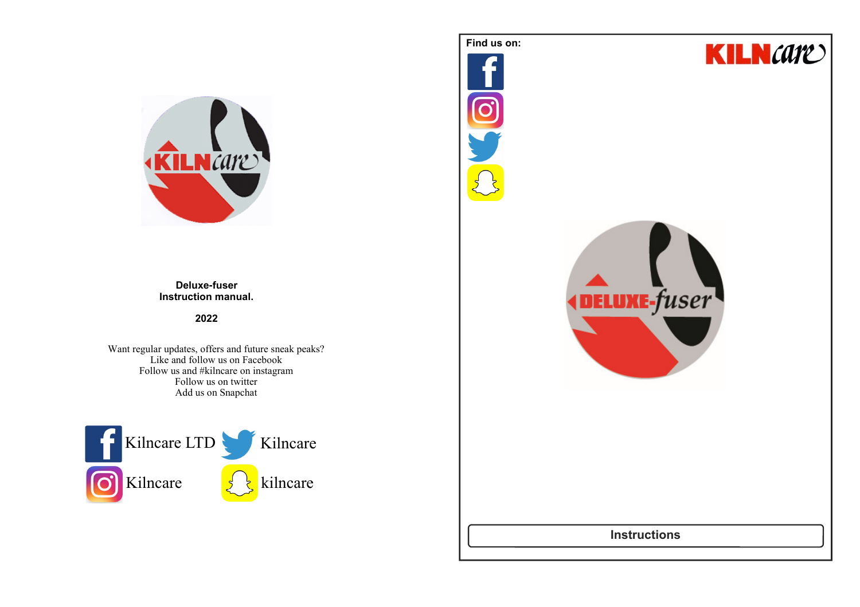

#### **Deluxe-fuser Instruction manual.**

#### **2022**

Want regular updates, offers and future sneak peaks? Like and follow us on Facebook Follow us and #kilncare on instagramFollow us on twitterAdd us on Snapchat



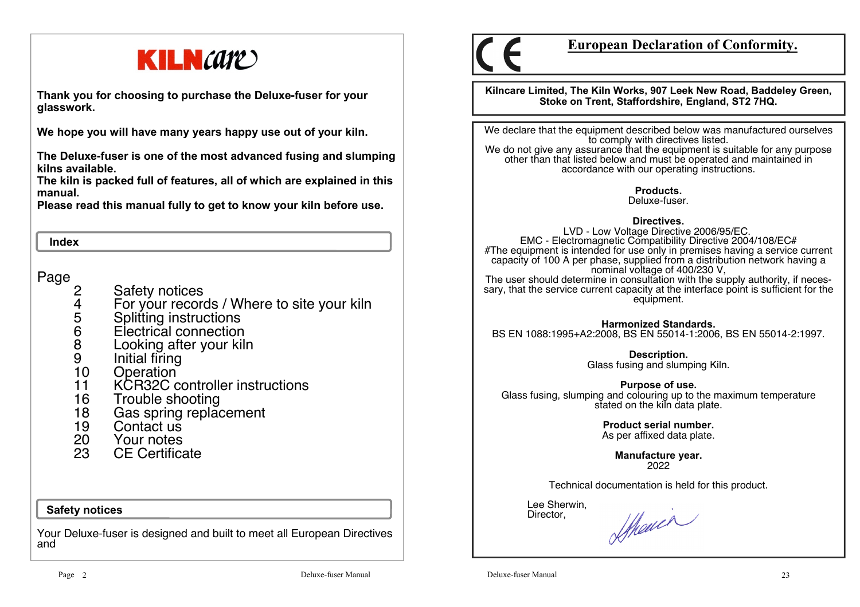

**Thank you for choosing to purchase the Deluxe-fuser for your glasswork.**

**We hope you will have many years happy use out of your kiln.** 

**The Deluxe-fuser is one of the most advanced fusing and slumping kilns available.** 

 **The kiln is packed full of features, all of which are explained in this manual.**

**Please read this manual fully to get to know your kiln before use.**

#### **Index**

Page

- 2 Safety notices<br>4 For your record
- 4 For your records / Where to site your kiln
- 
- 6 Electrical connection
- 5 Splitting instructions<br>6 Electrical connection<br>8 Looking after your kil 8 Looking after your kiln
- 9 Initial firing<br>10 Operation
- 10 Operation<br>11 KCR32C c
- 11 KCR32C controller instructions
- 16 Trouble shooting<br>18 Gas spring replac
- 18 Gas spring replacement<br>19 Contact us
- Contact us
- 20 Your notes
- 23 CE Certificate

#### **Safety notices**

Your Deluxe-fuser is designed and built to meet all European Directives and



# **European Declaration of Conformity.**

**Kilncare Limited, The Kiln Works, 907 Leek New Road, Baddeley Green, Stoke on Trent, Staffordshire, England, ST2 7HQ.**

We declare that the equipment described below was manufactured ourselves to comply with directives listed. We do not give any assurance that the equipment is suitable for any purpose

other than that listed below and must be operated and maintained in accordance with our operating instructions.

> **Products.**Deluxe-fuser.

#### **Directives.**

 LVD - Low Voltage Directive 2006/95/EC. EMC - Electromagnetic Compatibility Directive 2004/108/EC# #The equipment is intended for use only in premises having a service current capacity of 100 A per phase, supplied from a distribution network having a nominal voltage of 400/230 V, The user should determine in consultation with the supply authority, if necessary, that the service current capacity at the interface point is sufficient for the equipment.

**Harmonized Standards.**BS EN 1088:1995+A2:2008, BS EN 55014-1:2006, BS EN 55014-2:1997.

**Description.** 

Glass fusing and slumping Kiln.

**Purpose of use.**

 Glass fusing, slumping and colouring up to the maximum temperature stated on the kiln data plate.

> **Product serial number.**As per affixed data plate.

> > **Manufacture year.**2022

Technical documentation is held for this product.

 Lee Sherwin,Director,

Showin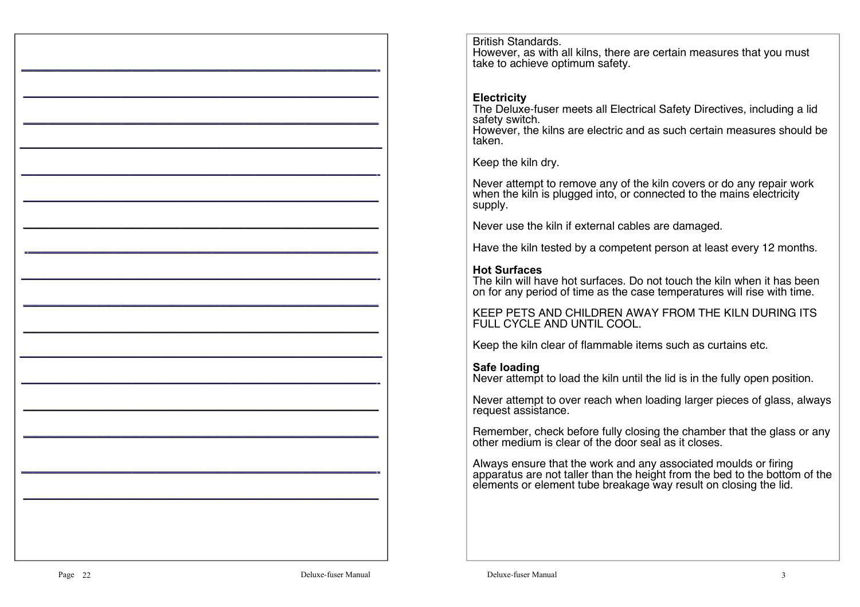British Standards. However, as with all kilns, there are certain measures that you must take to achieve optimum safety.

### **Electricity**

The Deluxe-fuser meets all Electrical Safety Directives, including a lid<br>safety switch.

 However, the kilns are electric and as such certain measures should be taken.

Keep the kiln dry.

Never attempt to remove any of the kiln covers or do any repair work when the kiln is plugged into, or connected to the mains electricity supply.

Never use the kiln if external cables are damaged.

Have the kiln tested by a competent person at least every 12 months.

## **Hot Surfaces**

 The kiln will have hot surfaces. Do not touch the kiln when it has been on for any period of time as the case temperatures will rise with time.

KEEP PETS AND CHILDREN AWAY FROM THE KILN DURING ITS FULL CYCLE AND UNTIL COOL.

Keep the kiln clear of flammable items such as curtains etc.

## **Safe loading**

Never attempt to load the kiln until the lid is in the fully open position.

Never attempt to over reach when loading larger pieces of glass, always request assistance.

Remember, check before fully closing the chamber that the glass or any other medium is clear of the door seal as it closes.

Always ensure that the work and any associated moulds or firing apparatus are not taller than the height from the bed to the bottom of the elements or element tube breakage way result on closing the lid.

—————————————————————————————-

—————————————————————————————

—————————————————————————————- ————————————————————————————— —————————————————————————————

—————————————————————————————

—————————————————————————————–

—————————————————————————————-

 $\frac{1}{2}$  , and the contribution of the contribution of the contribution of the contribution of the contribution of the contribution of the contribution of the contribution of the contribution of the contribution of the c

—————————————————————————————

—————————————————————————————

—————————————————————————————

—————————————————————————————

-————————————————————————————–

-————————————————————————————–

—————————————————————————————-

—————————————————————————————-

—————————————————————————————

—————————————————————————————

—————————————————————————————

—————————————————————————————

—————————————————————————————–

—————————————————————————————–

—————————————————————————————-

—————————————————————————————

—————————————————————————————- —————————————————————————————

—————————————————————————————

—————————————————————————————-

—————————————————————————————

—————————————————————————————- —————————————————————————————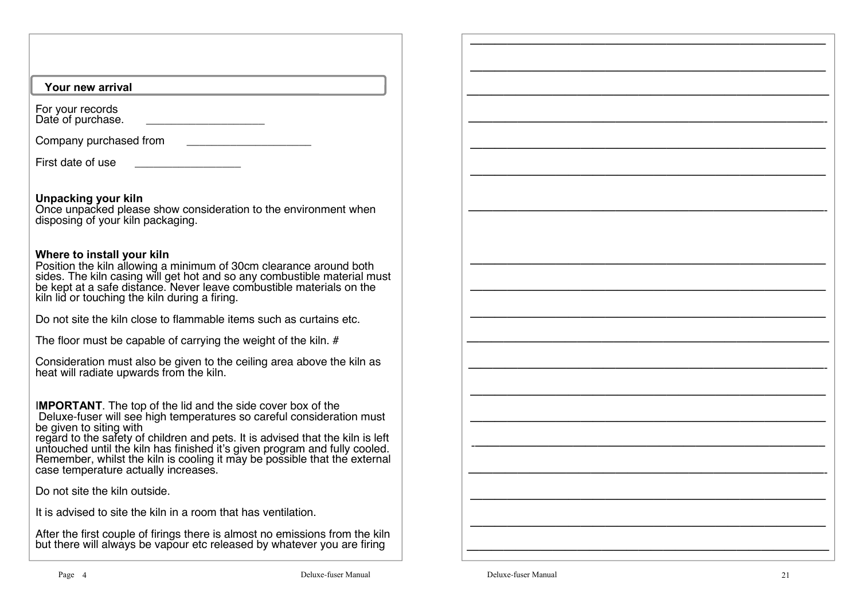#### **Your new arrival**

For your recordsDate of purchase. \_\_\_\_\_\_\_\_\_\_\_\_\_\_\_\_\_\_\_\_\_\_\_

Company purchased from **EXALL** 

First date of use

**Unpacking your kiln**

 Once unpacked please show consideration to the environment when disposing of your kiln packaging.

### **Where to install your kiln**

 Position the kiln allowing a minimum of 30cm clearance around both sides. The kiln casing will get hot and so any combustible material must be kept at a safe distance. Never leave combustible materials on the kiln lid or touching the kiln during a firing.

Do not site the kiln close to flammable items such as curtains etc.

The floor must be capable of carrying the weight of the kiln. #

Consideration must also be given to the ceiling area above the kiln as heat will radiate upwards from the kiln.

I**MPORTANT**. The top of the lid and the side cover box of the

Deluxe-fuser will see high temperatures so careful consideration must

be given to siting with regard to the safety of children and pets. It is advised that the kiln is left untouched until the kiln has finished it's given program and fully cooled. Remember, whilst the kiln is cooling it may be possible that the external case temperature actually increases.

Do not site the kiln outside.

It is advised to site the kiln in a room that has ventilation.

After the first couple of firings there is almost no emissions from the kiln but there will always be vapour etc released by whatever you are firing



—————————————————————————————

—————————————————————————————

—————————————————————————————–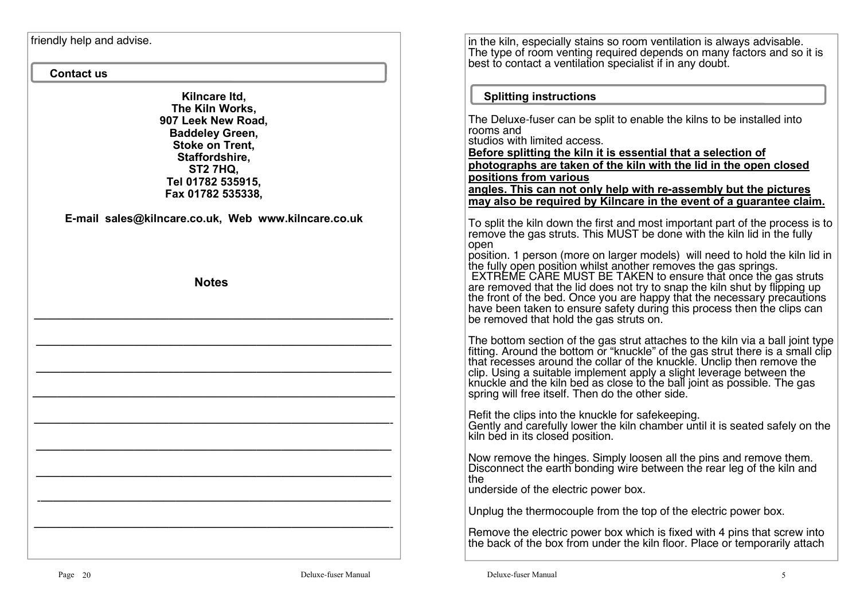friendly help and advise.

#### **Contact us**

**Kilncare ltd, The Kiln Works, 907 Leek New Road, Baddeley Green, Stoke on Trent, Staffordshire, ST2 7HQ, Tel 01782 535915, Fax 01782 535338,**

**E-mail sales@kilncare.co.uk, Web www.kilncare.co.uk**

 **Notes**

—————————————————————————————-

—————————————————————————————

—————————————————————————————

—————————————————————————————–

—————————————————————————————-

—————————————————————————————

—————————————————————————————

-denote the set of the set of the set of the set of the set of the set of the set of the set of the set of the set of the set of the set of the set of the set of the set of the set of the set of the set of the set of the

—————————————————————————————-

in the kiln, especially stains so room ventilation is always advisable.The type of room venting required depends on many factors and so it is<br>best to contact a ventilation specialist if in any doubt.

### **Splitting instructions**

The Deluxe-fuser can be split to enable the kilns to be installed into rooms and studios with limited access. **Before splitting the kiln it is essential that a selection of photographs are taken of the kiln with the lid in the open closed positions from various angles. This can not only help with re-assembly but the pictures may also be required by Kilncare in the event of a guarantee claim.**To split the kiln down the first and most important part of the process is to remove the gas struts. This MUST be done with the kiln lid in the fully open position. 1 person (more on larger models) will need to hold the kiln lid in the fully open position whilst another removes the gas springs.<br>EXTREME CARE MUST BE TAKEN to ensure that once the gas struts are removed that the lid does not try to snap the kiln shut by flipping up<br>the front of the bed. Once you are happy that the necessary precautions have been taken to ensure safety during this process then the clips can be removed that hold the gas struts on. The bottom section of the gas strut attaches to the kiln via a ball joint type fitting. Around the bottom or "knuckle" of the gas strut there is a small clip that recesses around the collar of the knuckle. Unclip then remo clip. Using a suitable implement apply a slight leverage between the knuckle and the kiln bed as close to the ball joint as possible. The gas<br>spring will free itself. Then do the other side. Refit the clips into the knuckle for safekeeping. Gently and carefully lower the kiln chamber until it is seated safely on the kiln bed in its closed position.Now remove the hinges. Simply loosen all the pins and remove them. Disconnect the earth bonding wire between the rear leg of the kiln and the

underside of the electric power box.

Unplug the thermocouple from the top of the electric power box.

Remove the electric power box which is fixed with 4 pins that screw into the back of the box from under the kiln floor. Place or temporarily attach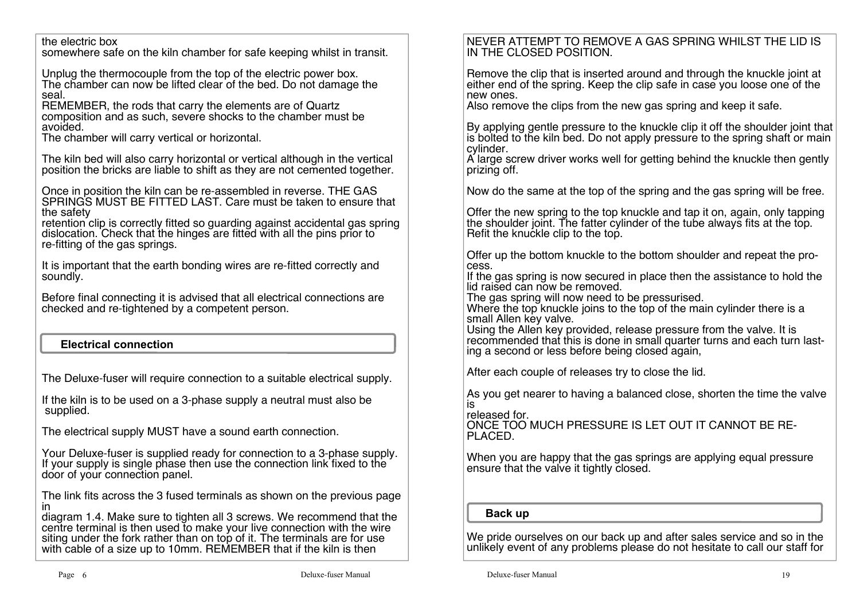the electric box

somewhere safe on the kiln chamber for safe keeping whilst in transit.

Unplug the thermocouple from the top of the electric power box. The chamber can now be lifted clear of the bed. Do not damage the seal.

 REMEMBER, the rods that carry the elements are of Quartz composition and as such, severe shocks to the chamber must beavoided.

The chamber will carry vertical or horizontal.

The kiln bed will also carry horizontal or vertical although in the vertical position the bricks are liable to shift as they are not cemented together.

Once in position the kiln can be re-assembled in reverse. THE GAS SPRINGS MUST BE FITTED LAST. Care must be taken to ensure that the safety

retention clip is correctly fitted so guarding against accidental gas spring dislocation. Check that the hinges are fitted with all the pins prior to re-fitting of the gas springs.

It is important that the earth bonding wires are re-fitted correctly and soundly.

Before final connecting it is advised that all electrical connections are checked and re-tightened by a competent person.

# **Electrical connection**

The Deluxe-fuser will require connection to a suitable electrical supply.

If the kiln is to be used on a 3-phase supply a neutral must also besupplied.

The electrical supply MUST have a sound earth connection.

Your Deluxe-fuser is supplied ready for connection to a 3-phase supply. If your supply is single phase then use the connection link fixed to the door of your connection panel.

The link fits across the 3 fused terminals as shown on the previous page in

 diagram 1.4. Make sure to tighten all 3 screws. We recommend that the centre terminal is then used to make your live connection with the wire siting under the fork rather than on top of it. The terminals are for use with cable of a size up to 10mm. REMEMBER that if the kiln is then

# NEVER ATTEMPT TO REMOVE A GAS SPRING WHILST THE LID IS IN THE CLOSED POSITION.

Remove the clip that is inserted around and through the knuckle joint at either end of the spring. Keep the clip safe in case you loose one of the new ones.

Also remove the clips from the new gas spring and keep it safe.

By applying gentle pressure to the knuckle clip it off the shoulder joint that is bolted to the kiln bed. Do not apply pressure to the spring shaft or main cylinder.

A large screw driver works well for getting behind the knuckle then gently<br>prizing off.

Now do the same at the top of the spring and the gas spring will be free.

Offer the new spring to the top knuckle and tap it on, again, only tapping the shoulder joint. The fatter cylinder of the tube always fits at the top.Refit the knuckle clip to the top.

Offer up the bottom knuckle to the bottom shoulder and repeat the process.

 If the gas spring is now secured in place then the assistance to hold the lid raised can now be removed.

The gas spring will now need to be pressurised.

Where the top knuckle joins to the top of the main cylinder there is a small Allen key valve.

 Using the Allen key provided, release pressure from the valve. It is recommended that this is done in small quarter turns and each turn lasting a second or less before being closed again,

After each couple of releases try to close the lid.

As you get nearer to having a balanced close, shorten the time the valve is

released for.

 ONCE TOO MUCH PRESSURE IS LET OUT IT CANNOT BE RE-PLACED.

When you are happy that the gas springs are applying equal pressure ensure that the valve it tightly closed.

# **Back up**

We pride ourselves on our back up and after sales service and so in the unlikely event of any problems please do not hesitate to call our staff for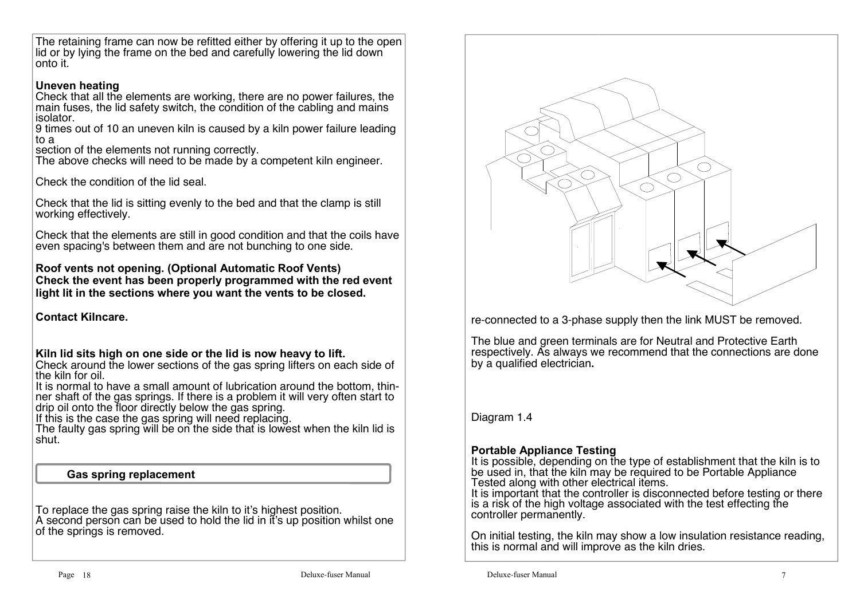The retaining frame can now be refitted either by offering it up to the open lid or by lying the frame on the bed and carefully lowering the lid down onto it.

## **Uneven heating**

Check that all the elements are working, there are no power failures, the main fuses, the lid safety switch, the condition of the cabling and mains isolator.

 9 times out of 10 an uneven kiln is caused by a kiln power failure leading to a

section of the elements not running correctly.

The above checks will need to be made by a competent kiln engineer.

Check the condition of the lid seal.

Check that the lid is sitting evenly to the bed and that the clamp is still working effectively.

Check that the elements are still in good condition and that the coils have even spacing's between them and are not bunching to one side.

### **Roof vents not opening. (Optional Automatic Roof Vents) Check the event has been properly programmed with the red event light lit in the sections where you want the vents to be closed.**

## **Contact Kilncare.**

## **Kiln lid sits high on one side or the lid is now heavy to lift.**

Check around the lower sections of the gas spring lifters on each side of<br>the kiln for oil.

 It is normal to have a small amount of lubrication around the bottom, thinner shaft of the gas springs. If there is a problem it will very often start to drip oil onto the floor directly below the gas spring.

If this is the case the gas spring will need replacing.

 The faulty gas spring will be on the side that is lowest when the kiln lid is shut.

## **Gas spring replacement**

To replace the gas spring raise the kiln to it's highest position. A second person can be used to hold the lid in it's up position whilst one of the springs is removed.



re-connected to a 3-phase supply then the link MUST be removed.

The blue and green terminals are for Neutral and Protective Earth respectively. As always we recommend that the connections are done by a qualified electrician**.**

Diagram 1.4

# **Portable Appliance Testing**

 It is possible, depending on the type of establishment that the kiln is to be used in, that the kiln may be required to be Portable Appliance<br>Tested along with other electrical items.

It is important that the controller is disconnected before testing or there is a risk of the high voltage associated with the test effecting the controller permanently.

On initial testing, the kiln may show a low insulation resistance reading, this is normal and will improve as the kiln dries.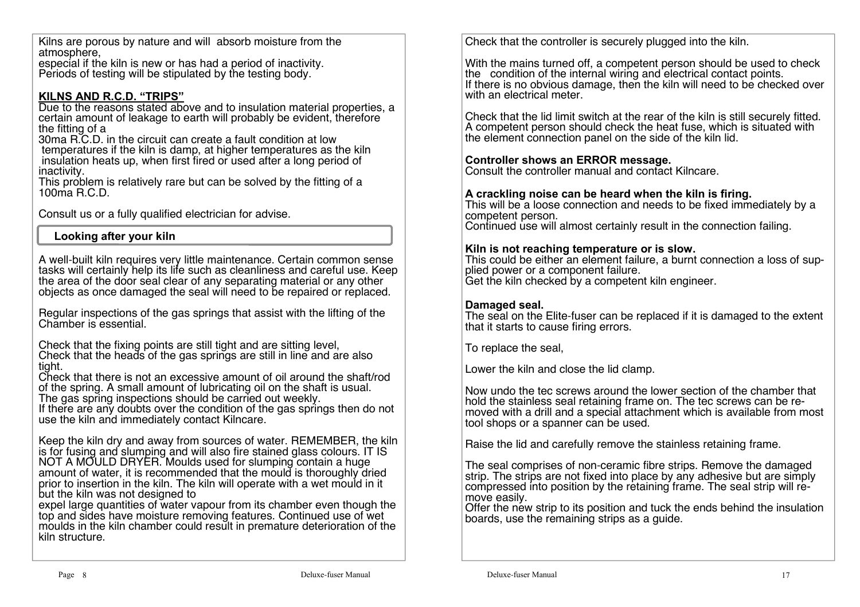Kilns are porous by nature and will absorb moisture from the atmosphere,

 especial if the kiln is new or has had a period of inactivity.Periods of testing will be stipulated by the testing body.

# **KILNS AND R.C.D. "TRIPS"**

 Due to the reasons stated above and to insulation material properties, a certain amount of leakage to earth will probably be evident, therefore the fitting of a 30ma R.C.D. in the circuit can create a fault condition at low

temperatures if the kiln is damp, at higher temperatures as the kiln insulation heats up, when first fired or used after a long period of inactivity.

This problem is relatively rare but can be solved by the fitting of a<br>100ma R.C.D.

Consult us or a fully qualified electrician for advise.

# **Looking after your kiln**

A well-built kiln requires very little maintenance. Certain common sense tasks will certainly help its life such as cleanliness and careful use. Keep the area of the door seal clear of any separating material or any other objects as once damaged the seal will need to be repaired or replaced.

Regular inspections of the gas springs that assist with the lifting of the Chamber is essential.

Check that the fixing points are still tight and are sitting level, Check that the heads of the gas springs are still in line and are also tight.

 Check that there is not an excessive amount of oil around the shaft/rod of the spring. A small amount of lubricating oil on the shaft is usual.The gas spring inspections should be carried out weekly.

 If there are any doubts over the condition of the gas springs then do not use the kiln and immediately contact Kilncare.

Keep the kiln dry and away from sources of water. REMEMBER, the kiln is for fusing and slumping and will also fire stained glass colours. IT IS NOT A MOULD DRYER. Moulds used for slumping contain a huge amount of water, it is recommended that the mould is thoroughly dried prior to insertion in the kiln. The kiln will operate with a wet mould in it

but the kiln was not designed to<br>expel large quantities of water vapour from its chamber even though the<br>top and sides have moisture removing features. Continued use of wet moulds in the kiln chamber could result in premature deterioration of the kiln structure.

Check that the controller is securely plugged into the kiln.

With the mains turned off, a competent person should be used to check the condition of the internal wiring and electrical contact points. If there is no obvious damage, then the kiln will need to be checked over with an electrical meter.

Check that the lid limit switch at the rear of the kiln is still securely fitted.A competent person should check the heat fuse, which is situated with the element connection panel on the side of the kiln lid.

# **Controller shows an ERROR message.**

Consult the controller manual and contact Kilncare.

## **A crackling noise can be heard when the kiln is firing.**

 This will be a loose connection and needs to be fixed immediately by a competent person.Continued use will almost certainly result in the connection failing.

### **Kiln is not reaching temperature or is slow.**

 This could be either an element failure, a burnt connection a loss of supplied power or a component failure. Get the kiln checked by a competent kiln engineer.

### **Damaged seal.**

The seal on the Elite-fuser can be replaced if it is damaged to the extent<br>that it starts to cause firing errors.

To replace the seal,

Lower the kiln and close the lid clamp.

Now undo the tec screws around the lower section of the chamber that hold the stainless seal retaining frame on. The tec screws can be removed with a drill and a special attachment which is available from most tool shops or a spanner can be used.

Raise the lid and carefully remove the stainless retaining frame.

The seal comprises of non-ceramic fibre strips. Remove the damaged strip. The strips are not fixed into place by any adhesive but are simply compressed into position by the retaining frame. The seal strip will remove easily.

 Offer the new strip to its position and tuck the ends behind the insulation boards, use the remaining strips as a guide.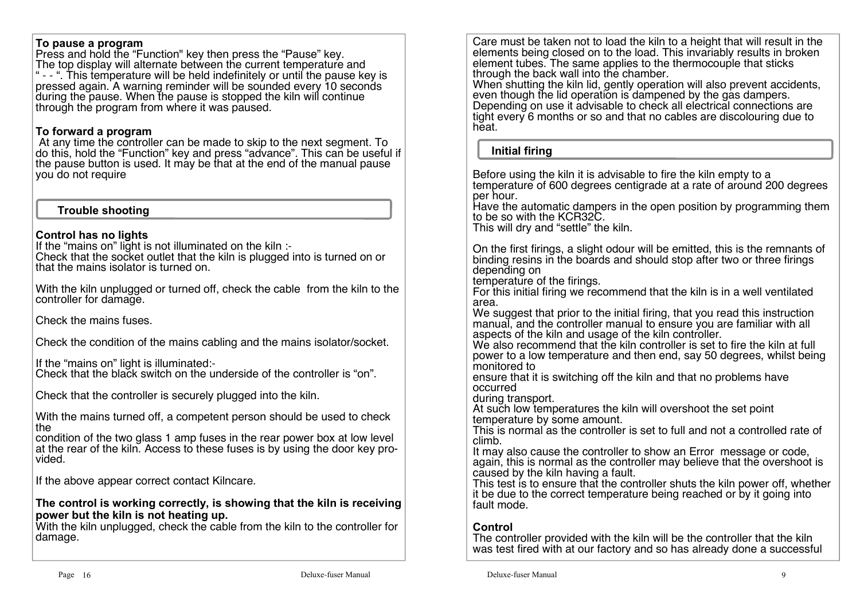### **To pause a program**

 Press and hold the "Function" key then press the "Pause" key. The top display will alternate between the current temperature and " - - ". This temperature will be held indefinitely or until the pause key is pressed again. A warning reminder will be sounded every 10 seconds during the pause. When the pause is stopped the kiln will continue through the program from where it was paused.

## **To forward a program**

 At any time the controller can be made to skip to the next segment. To do this, hold the "Function" key and press "advance". This can be useful if the pause button is used. It may be that at the end of the manual pause you do not require

## **Trouble shooting**

## **Control has no lights**

If the "mains on" light is not illuminated on the kiln :-Check that the socket outlet that the kiln is plugged into is turned on or that the mains isolator is turned on.

With the kiln unplugged or turned off, check the cable from the kiln to the controller for damage.

Check the mains fuses.

Check the condition of the mains cabling and the mains isolator/socket.

If the "mains on" light is illuminated:- Check that the black switch on the underside of the controller is "on".

Check that the controller is securely plugged into the kiln.

With the mains turned off, a competent person should be used to check the

condition of the two glass 1 amp fuses in the rear power box at low level at the rear of the kiln. Access to these fuses is by using the door key provided.

If the above appear correct contact Kilncare.

#### **The control is working correctly, is showing that the kiln is receiving power but the kiln is not heating up.**

 With the kiln unplugged, check the cable from the kiln to the controller for damage.

Care must be taken not to load the kiln to a height that will result in the elements being closed on to the load. This invariably results in broken element tubes. The same applies to the thermocouple that sticks through the back wall into the chamber.

 When shutting the kiln lid, gently operation will also prevent accidents, even though the lid operation is dampened by the gas dampers. Depending on use it advisable to check all electrical connections are tight every 6 months or so and that no cables are discolouring due to heat.

### **Initial firing**

Before using the kiln it is advisable to fire the kiln empty to a temperature of 600 degrees centigrade at a rate of around 200 degrees per hour.

Have the automatic dampers in the open position by programming them<br>to be so with the KCR32C.

This will dry and "settle" the kiln.

On the first firings, a slight odour will be emitted, this is the remnants of binding resins in the boards and should stop after two or three firings

temperature of the firings.<br>For this initial firing we recommend that the kiln is in a well ventilated area.

We suggest that prior to the initial firing, that you read this instruction manual, and the controller manual to ensure you are familiar with all aspects of the kiln and usage of the kiln controller.

 We also recommend that the kiln controller is set to fire the kiln at full power to a low temperature and then end, say 50 degrees, whilst being monitored to

 ensure that it is switching off the kiln and that no problems have occurred

during transport.

 At such low temperatures the kiln will overshoot the set point temperature by some amount.

 This is normal as the controller is set to full and not a controlled rate of climb.

 It may also cause the controller to show an Error message or code, again, this is normal as the controller may believe that the overshoot is<br>caused by the kiln having a fault.

 This test is to ensure that the controller shuts the kiln power off, whether it be due to the correct temperature being reached or by it going into fault mode.

# **Control**

 The controller provided with the kiln will be the controller that the kiln was test fired with at our factory and so has already done a successful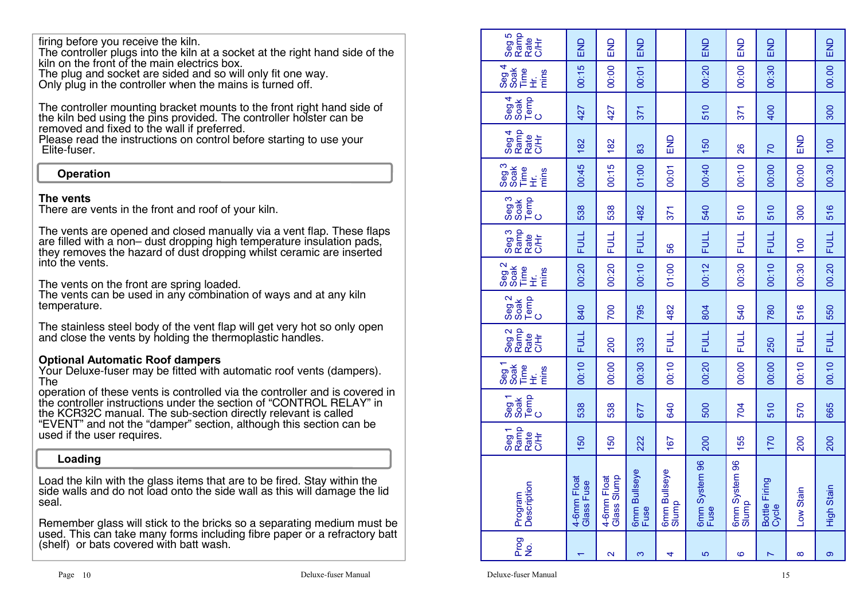firing before you receive the kiln.

The controller plugs into the kiln at a socket at the right hand side of the<br>kiln on the front of the main electrics box.

The plug and socket are sided and so will only fit one way. Only plug in the controller when the mains is turned off.

The controller mounting bracket mounts to the front right hand side of the kiln bed using the pins provided. The controller holster can be removed and fixed to the wall if preferred.

 Please read the instructions on control before starting to use yourElite-fuser.

## **Operation**

## **The vents**

There are vents in the front and roof of your kiln.

The vents are opened and closed manually via a vent flap. These flaps are filled with a non- dust dropping high temperature insulation pads. are filled with a non– dust dropping high temperature insulation pads,<br>they removes the hazard of dust dropping whilst ceramic are inserted into the vents.

The vents on the front are spring loaded.

 The vents can be used in any combination of ways and at any kiln temperature.

The stainless steel body of the vent flap will get very hot so only open and close the vents by holding the thermoplastic handles.

## **Optional Automatic Roof dampers**

 Your Deluxe-fuser may be fitted with automatic roof vents (dampers). The

 operation of these vents is controlled via the controller and is covered in the controller instructions under the section of "CONTROL RELAY" in the KCR32C manual. The sub-section directly relevant is called "EVENT" and not the "damper" section, although this section can be<br>used if the user requires.

### **Loading**

Load the kiln with the glass items that are to be fired. Stay within the side walls and do not load onto the side wall as this will damage the lid seal.

Remember glass will stick to the bricks so a separating medium must be used. This can take many forms including fibre paper or a refractory batt (shelf) or bats covered with batt wash.

| Seg 5<br>Ramp<br>Rate<br>古<br>10                                                                   | END                       | END                        | END                         |                       | END                   | END                    | END                    |             | END         |
|----------------------------------------------------------------------------------------------------|---------------------------|----------------------------|-----------------------------|-----------------------|-----------------------|------------------------|------------------------|-------------|-------------|
| $\frac{3}{4}$<br>。<br>上<br>王<br>mins                                                               | 00:15                     | 00:00                      | 00:01                       |                       | 00:20                 | 00:00                  | 00:30                  |             | 00.00       |
| Seg 4<br>Soak<br>C<br>C<br>C                                                                       | 427                       | 427                        | 371                         |                       | 510                   | 371                    | 400                    |             | 300         |
| Seg 4<br>Ramp<br>C/Hr                                                                              | 182                       | 182                        | 83                          | END                   | 150                   | 26                     | $\overline{C}$         | END         | 100         |
| Seg 3<br>Soak<br>$\overset{\mathsf{ee}}{\vphantom{\mathsf{H}}} \mathrel{\dot{\mathsf{E}}}$<br>mins | 00:45                     | 00:15                      | 01:00                       | 00:01                 | 00:40                 | 00:10                  | 00:00                  | 00:00       | 00.30       |
| Seg <sub>3</sub><br>Temp<br>C<br>Soak                                                              | 538                       | 538                        | 482                         | 371                   | 540                   | 510                    | 510                    | 300         | 516         |
| Seg 3<br>Ramp<br>C/Hr                                                                              | <b>FULL</b>               | <b>FULL</b>                | <b>FULL</b>                 | 99                    | <b>FULL</b>           | <b>FULL</b>            | <b>FULL</b>            | 100         | <b>FULL</b> |
| Seg <sub>2</sub><br>Time<br>mins<br>$\vec{\pm}$                                                    | 00:20                     | 00:20                      | 00:10                       | 01:00                 | 00:12                 | 00:30                  | 00:10                  | 00:30       | 00.20       |
| Seg <sub>2</sub><br>Temp<br>C<br>Soak                                                              | 840                       | 700                        | 795                         | 482                   | 804                   | 540                    | 780                    | 516         | 550         |
| Seg 2<br>Ramp<br>Rate<br>古<br>SH                                                                   | <b>FULL</b>               | 200                        | 333                         | <b>FULL</b>           | <b>FULL</b>           | <b>FULL</b>            | 250                    | <b>FULL</b> | <b>FULL</b> |
| Seg <sub>1</sub><br>Time<br>mins<br>Ë                                                              | 00:10                     | 00:00                      | 00:30                       | 00:10                 | 00:20                 | 00:00                  | 00:00                  | 00:10       | 00.10       |
| Temp<br>C<br>Seg <sub>1</sub><br>Soak                                                              | 538                       | 538                        | 677                         | 640                   | 500                   | 704                    | 510                    | 570         | 665         |
| Seg 1<br>Ramp<br>Rate<br>C/Hr                                                                      | 150                       | 150                        | 222                         | 167                   | <b>200</b>            | 155                    | 170                    | <b>200</b>  | <b>200</b>  |
| Description<br>Program                                                                             | 4-6mm Float<br>Glass Fuse | Glass Slump<br>4-6mm Float | <b>6mm Bullseye</b><br>Fuse | 6mm Bullseye<br>Slump | 6mm System 96<br>Fuse | 6mm System 96<br>Slump | Bottle Firing<br>Cycle | Low Stain   | High Stain  |
| Prog<br>No.                                                                                        |                           | $\mathbf{\Omega}$          | ო                           | 4                     | 5                     | ဖ                      | N                      | ထ           | ၜ           |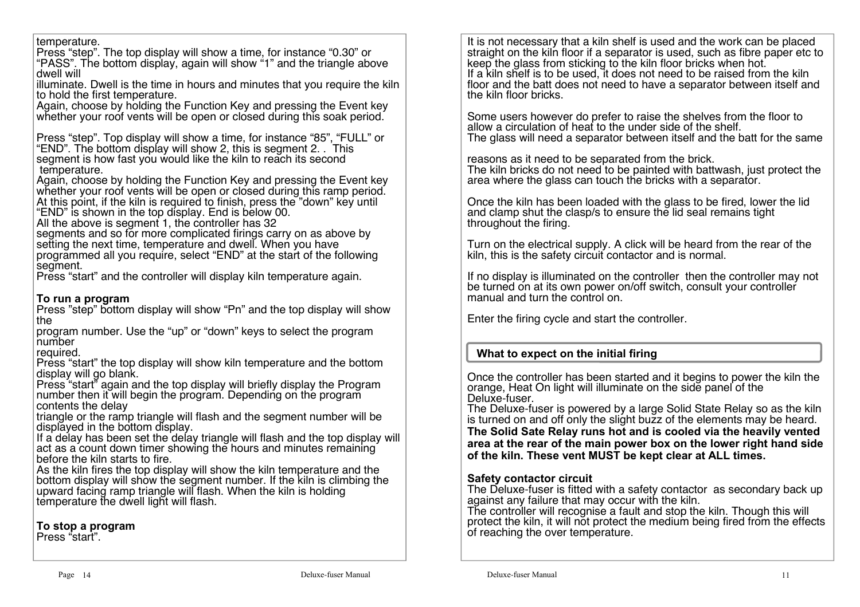#### temperature.

Press "step". The top display will show a time, for instance "0.30" or "PASS". The bottom display, again will show "1" and the triangle above dwell will

 illuminate. Dwell is the time in hours and minutes that you require the kiln to hold the first temperature.

Again, choose by holding the Function Key and pressing the Event key whether your roof vents will be open or closed during this soak period.

Press "step". Top display will show a time, for instance "85", "FULL" or "<br>"END". The bottom display will show 2, this is segment 2, . This segment is how fast you would like the kiln to reach its second temperature.

Again, choose by holding the Function Key and pressing the Event key whether your roof vents will be open or closed during this ramp period. At this point, if the kiln is required to finish, press the "down" key until "END" is shown in the top display. End is below 00.<br>All the above is segment 1, the controller has 32

segments and so for more complicated firings carry on as above by setting the next time, temperature and dwell. When you have programmed all you require, select "END" at the start of the following segment.

Press "start" and the controller will display kiln temperature again.

### **To run a program**

 Press "step" bottom display will show "Pn" and the top display will show the

 program number. Use the "up" or "down" keys to select the program number

required.

 Press "start" the top display will show kiln temperature and the bottom display will go blank.<br>Press "start" again and the top display will briefly display the Program

number then it will begin the program. Depending on the programcontents the delay

 triangle or the ramp triangle will flash and the segment number will be displayed in the bottom display.

 If a delay has been set the delay triangle will flash and the top display will act as a count down timer showing the hours and minutes remaining before the kiln starts to fire.

 As the kiln fires the top display will show the kiln temperature and the bottom display will show the segment number. If the kiln is climbing the<br>upward facing ramp triangle will flash. When the kiln is holding<br>temperature the dwell light will flash.

**To stop a program**

Press "start".

It is not necessary that a kiln shelf is used and the work can be placed straight on the kiln floor if a separator is used, such as fibre paper etc to<br>keep the glass from sticking to the kiln floor bricks when hot. If a kiln shelf is to be used, it does not need to be raised from the kiln floor and the batt does not need to have a separator between itself and the kiln floor bricks.

Some users however do prefer to raise the shelves from the floor to allow a circulation of heat to the under side of the shelf.The glass will need a separator between itself and the batt for the same

reasons as it need to be separated from the brick. The kiln bricks do not need to be painted with battwash, just protect the area where the glass can touch the bricks with a separator.

Once the kiln has been loaded with the glass to be fired, lower the lid and clamp shut the clasp/s to ensure the lid seal remains tight throughout the firing.

Turn on the electrical supply. A click will be heard from the rear of the kiln, this is the safety circuit contactor and is normal.

If no display is illuminated on the controller then the controller may not be turned on at its own power on/off switch, consult your controller manual and turn the control on.

Enter the firing cycle and start the controller.

## **What to expect on the initial firing**

Once the controller has been started and it begins to power the kiln the orange. Heat On light will illuminate on the side panel of the Deluxe-fuser.

The Deluxe-fuser is powered by a large Solid State Relay so as the kiln is turned on and off only the slight buzz of the elements may be heard. **The Solid Sate Relay runs hot and is cooled via the heavily vented area at the rear of the main power box on the lower right hand side of the kiln. These vent MUST be kept clear at ALL times.**

## **Safety contactor circuit**

 The Deluxe-fuser is fitted with a safety contactor as secondary back upagainst any failure that may occur with the kiln.

 The controller will recognise a fault and stop the kiln. Though this will protect the kiln, it will not protect the medium being fired from the effects<br>of reaching the over temperature.